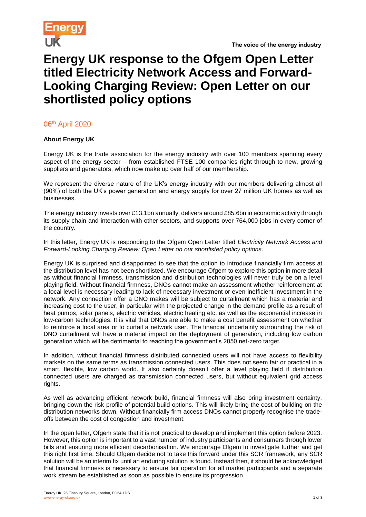

## **Energy UK response to the Ofgem Open Letter titled Electricity Network Access and Forward-Looking Charging Review: Open Letter on our shortlisted policy options**

06th April 2020

## **About Energy UK**

Energy UK is the trade association for the energy industry with over 100 members spanning every aspect of the energy sector – from established FTSE 100 companies right through to new, growing suppliers and generators, which now make up over half of our membership.

We represent the diverse nature of the UK's energy industry with our members delivering almost all (90%) of both the UK's power generation and energy supply for over 27 million UK homes as well as businesses.

The energy industry invests over £13.1bn annually, delivers around £85.6bn in economic activity through its supply chain and interaction with other sectors, and supports over 764,000 jobs in every corner of the country.

In this letter, Energy UK is responding to the Ofgem Open Letter titled *Electricity Network Access and Forward-Looking Charging Review: Open Letter on our shortlisted policy options*.

Energy UK is surprised and disappointed to see that the option to introduce financially firm access at the distribution level has not been shortlisted. We encourage Ofgem to explore this option in more detail as without financial firmness, transmission and distribution technologies will never truly be on a level playing field. Without financial firmness, DNOs cannot make an assessment whether reinforcement at a local level is necessary leading to lack of necessary investment or even inefficient investment in the network. Any connection offer a DNO makes will be subject to curtailment which has a material and increasing cost to the user, in particular with the projected change in the demand profile as a result of heat pumps, solar panels, electric vehicles, electric heating etc. as well as the exponential increase in low-carbon technologies. It is vital that DNOs are able to make a cost benefit assessment on whether to reinforce a local area or to curtail a network user. The financial uncertainty surrounding the risk of DNO curtailment will have a material impact on the deployment of generation, including low carbon generation which will be detrimental to reaching the government's 2050 net-zero target.

In addition, without financial firmness distributed connected users will not have access to flexibility markets on the same terms as transmission connected users. This does not seem fair or practical in a smart, flexible, low carbon world. It also certainly doesn't offer a level playing field if distribution connected users are charged as transmission connected users, but without equivalent grid access rights.

As well as advancing efficient network build, financial firmness will also bring investment certainty, bringing down the risk profile of potential build options. This will likely bring the cost of building on the distribution networks down. Without financially firm access DNOs cannot properly recognise the tradeoffs between the cost of congestion and investment.

In the open letter, Ofgem state that it is not practical to develop and implement this option before 2023. However, this option is important to a vast number of industry participants and consumers through lower bills and ensuring more efficient decarbonisation. We encourage Ofgem to investigate further and get this right first time. Should Ofgem decide not to take this forward under this SCR framework, any SCR solution will be an interim fix until an enduring solution is found. Instead then, it should be acknowledged that financial firmness is necessary to ensure fair operation for all market participants and a separate work stream be established as soon as possible to ensure its progression.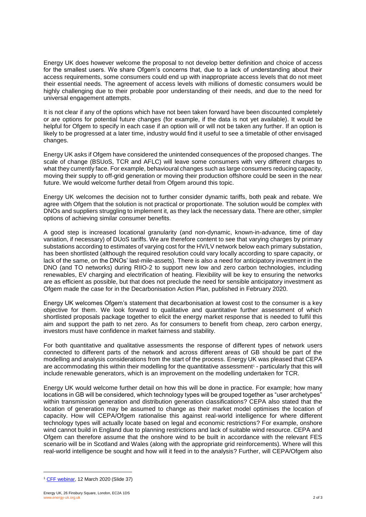Energy UK does however welcome the proposal to not develop better definition and choice of access for the smallest users. We share Ofgem's concerns that, due to a lack of understanding about their access requirements, some consumers could end up with inappropriate access levels that do not meet their essential needs. The agreement of access levels with millions of domestic consumers would be highly challenging due to their probable poor understanding of their needs, and due to the need for universal engagement attempts.

It is not clear if any of the options which have not been taken forward have been discounted completely or are options for potential future changes (for example, if the data is not yet available). It would be helpful for Ofgem to specify in each case if an option will or will not be taken any further. If an option is likely to be progressed at a later time, industry would find it useful to see a timetable of other envisaged changes.

Energy UK asks if Ofgem have considered the unintended consequences of the proposed changes. The scale of change (BSUoS, TCR and AFLC) will leave some consumers with very different charges to what they currently face. For example, behavioural changes such as large consumers reducing capacity, moving their supply to off-grid generation or moving their production offshore could be seen in the near future. We would welcome further detail from Ofgem around this topic.

Energy UK welcomes the decision not to further consider dynamic tariffs, both peak and rebate. We agree with Ofgem that the solution is not practical or proportionate. The solution would be complex with DNOs and suppliers struggling to implement it, as they lack the necessary data. There are other, simpler options of achieving similar consumer benefits.

A good step is increased locational granularity (and non-dynamic, known-in-advance, time of day variation, if necessary) of DUoS tariffs. We are therefore content to see that varying charges by primary substations according to estimates of varying cost for the HV/LV network below each primary substation, has been shortlisted (although the required resolution could vary locally according to spare capacity, or lack of the same, on the DNOs' last-mile-assets). There is also a need for anticipatory investment in the DNO (and TO networks) during RIIO-2 to support new low and zero carbon technologies, including renewables, EV charging and electrification of heating. Flexibility will be key to ensuring the networks are as efficient as possible, but that does not preclude the need for sensible anticipatory investment as Ofgem made the case for in the Decarbonisation Action Plan, published in February 2020.

Energy UK welcomes Ofgem's statement that decarbonisation at lowest cost to the consumer is a key objective for them. We look forward to qualitative and quantitative further assessment of which shortlisted proposals package together to elicit the energy market response that is needed to fulfil this aim and support the path to net zero. As for consumers to benefit from cheap, zero carbon energy, investors must have confidence in market fairness and stability.

For both quantitative and qualitative assessments the response of different types of network users connected to different parts of the network and across different areas of GB should be part of the modelling and analysis considerations from the start of the process. Energy UK was pleased that CEPA are accommodating this within their modelling for the quantitative assessment<sup>1</sup> - particularly that this will include renewable generators, which is an improvement on the modelling undertaken for TCR.

Energy UK would welcome further detail on how this will be done in practice. For example; how many locations in GB will be considered, which technology types will be grouped together as "user archetypes" within transmission generation and distribution generation classifications? CEPA also stated that the location of generation may be assumed to change as their market model optimises the location of capacity. How will CEPA/Ofgem rationalise this against real-world intelligence for where different technology types will actually locate based on legal and economic restrictions? For example, onshore wind cannot build in England due to planning restrictions and lack of suitable wind resource. CEPA and Ofgem can therefore assume that the onshore wind to be built in accordance with the relevant FES scenario will be in Scotland and Wales (along with the appropriate grid reinforcements). Where will this real-world intelligence be sought and how will it feed in to the analysis? Further, will CEPA/Ofgem also

l

<sup>1</sup> [CFF webinar,](http://www.chargingfutures.com/media/1420/march-charging-futures-morning-webinar-session.pdf) 12 March 2020 (Slide 37)